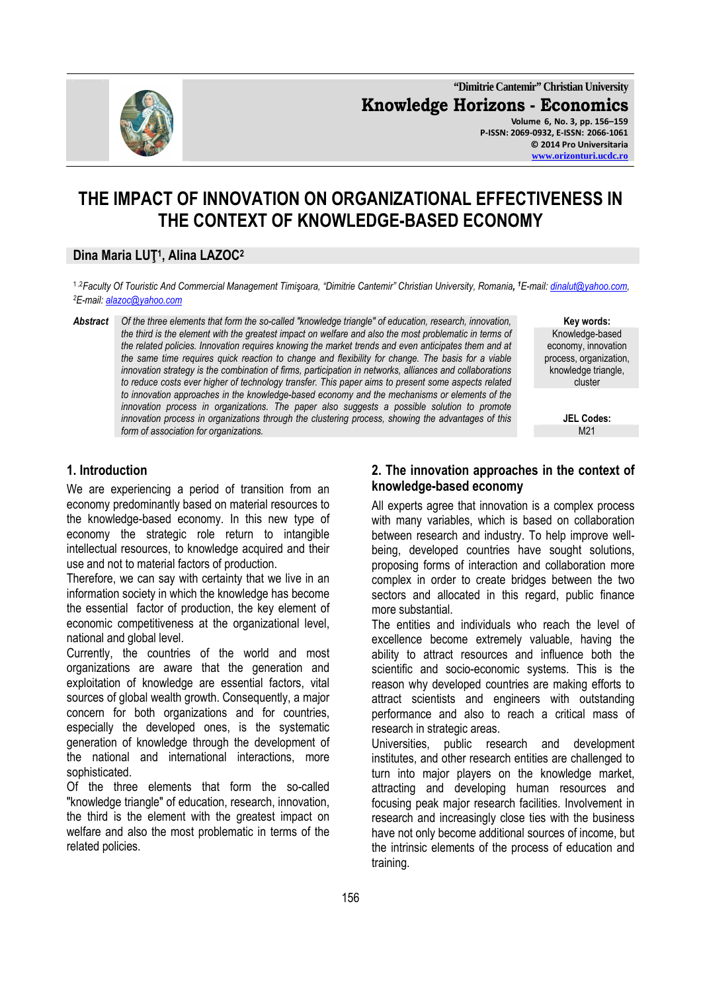

**"Dimitrie Cantemir" Christian University Knowledge Horizons - Economics Volume 6, No. 3, pp. 156–159 P-ISSN: 2069-0932, E-ISSN: 2066-1061 © 2014 Pro Universitaria www.orizonturi.ucdc.ro**

# **THE IMPACT OF INNOVATION ON ORGANIZATIONAL EFFECTIVENESS IN THE CONTEXT OF KNOWLEDGE-BASED ECONOMY**

## **Dina Maria LUŢ<sup>1</sup> , Alina LAZOC<sup>2</sup>**

1 ,2*Faculty Of Touristic And Commercial Management Timişoara, "Dimitrie Cantemir" Christian University, Romania, <sup>1</sup>E-mail: dinalut@yahoo.com, <sup>2</sup>E-mail: alazoc@yahoo.com*

*Abstract Of the three elements that form the so-called "knowledge triangle" of education, research, innovation, the third is the element with the greatest impact on welfare and also the most problematic in terms of the related policies. Innovation requires knowing the market trends and even anticipates them and at the same time requires quick reaction to change and flexibility for change. The basis for a viable innovation strategy is the combination of firms, participation in networks, alliances and collaborations to reduce costs ever higher of technology transfer. This paper aims to present some aspects related to innovation approaches in the knowledge-based economy and the mechanisms or elements of the innovation process in organizations. The paper also suggests a possible solution to promote innovation process in organizations through the clustering process, showing the advantages of this*  form of association for organizations.

**Key words:**  Knowledge-based economy, innovation process, organization, knowledge triangle. cluster

**JEL Codes:**

## **1. Introduction**

We are experiencing a period of transition from an economy predominantly based on material resources to the knowledge-based economy. In this new type of economy the strategic role return to intangible intellectual resources, to knowledge acquired and their use and not to material factors of production.

Therefore, we can say with certainty that we live in an information society in which the knowledge has become the essential factor of production, the key element of economic competitiveness at the organizational level, national and global level.

Currently, the countries of the world and most organizations are aware that the generation and exploitation of knowledge are essential factors, vital sources of global wealth growth. Consequently, a major concern for both organizations and for countries, especially the developed ones, is the systematic generation of knowledge through the development of the national and international interactions, more sophisticated.

Of the three elements that form the so-called "knowledge triangle" of education, research, innovation, the third is the element with the greatest impact on welfare and also the most problematic in terms of the related policies.

#### **2. The innovation approaches in the context of knowledge-based economy**

All experts agree that innovation is a complex process with many variables, which is based on collaboration between research and industry. To help improve wellbeing, developed countries have sought solutions, proposing forms of interaction and collaboration more complex in order to create bridges between the two sectors and allocated in this regard, public finance more substantial.

The entities and individuals who reach the level of excellence become extremely valuable, having the ability to attract resources and influence both the scientific and socio-economic systems. This is the reason why developed countries are making efforts to attract scientists and engineers with outstanding performance and also to reach a critical mass of research in strategic areas.

Universities, public research and development institutes, and other research entities are challenged to turn into major players on the knowledge market, attracting and developing human resources and focusing peak major research facilities. Involvement in research and increasingly close ties with the business have not only become additional sources of income, but the intrinsic elements of the process of education and training.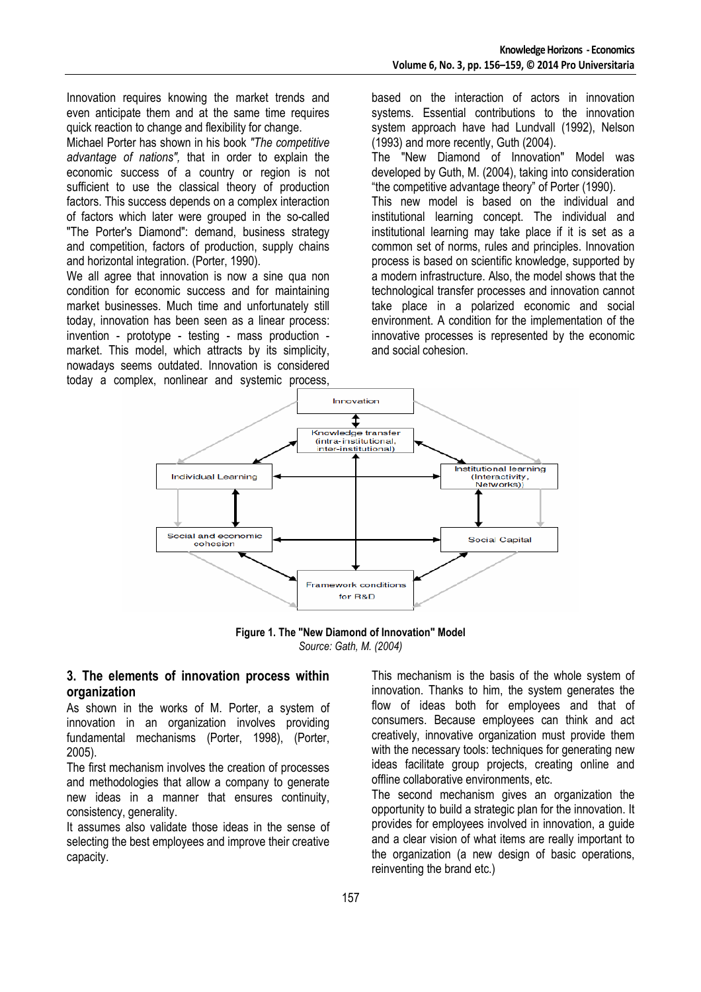Innovation requires knowing the market trends and even anticipate them and at the same time requires quick reaction to change and flexibility for change.

Michael Porter has shown in his book *"The competitive advantage of nations",* that in order to explain the economic success of a country or region is not sufficient to use the classical theory of production factors. This success depends on a complex interaction of factors which later were grouped in the so-called "The Porter's Diamond": demand, business strategy and competition, factors of production, supply chains and horizontal integration. (Porter, 1990).

We all agree that innovation is now a sine qua non condition for economic success and for maintaining market businesses. Much time and unfortunately still today, innovation has been seen as a linear process: invention - prototype - testing - mass production market. This model, which attracts by its simplicity, nowadays seems outdated. Innovation is considered today a complex, nonlinear and systemic process,

based on the interaction of actors in innovation systems. Essential contributions to the innovation system approach have had Lundvall (1992), Nelson (1993) and more recently, Guth (2004).

The "New Diamond of Innovation" Model was developed by Guth, M. (2004), taking into consideration "the competitive advantage theory" of Porter (1990).

This new model is based on the individual and institutional learning concept. The individual and institutional learning may take place if it is set as a common set of norms, rules and principles. Innovation process is based on scientific knowledge, supported by a modern infrastructure. Also, the model shows that the technological transfer processes and innovation cannot take place in a polarized economic and social environment. A condition for the implementation of the innovative processes is represented by the economic and social cohesion.



**Figure 1. The "New Diamond of Innovation" Model**  *Source: Gath, M. (2004)*

#### **3. The elements of innovation process within organization**

As shown in the works of M. Porter, a system of innovation in an organization involves providing fundamental mechanisms (Porter, 1998), (Porter, 2005).

The first mechanism involves the creation of processes and methodologies that allow a company to generate new ideas in a manner that ensures continuity, consistency, generality.

It assumes also validate those ideas in the sense of selecting the best employees and improve their creative capacity.

This mechanism is the basis of the whole system of innovation. Thanks to him, the system generates the flow of ideas both for employees and that of consumers. Because employees can think and act creatively, innovative organization must provide them with the necessary tools: techniques for generating new ideas facilitate group projects, creating online and offline collaborative environments, etc.

The second mechanism gives an organization the opportunity to build a strategic plan for the innovation. It provides for employees involved in innovation, a guide and a clear vision of what items are really important to the organization (a new design of basic operations, reinventing the brand etc.)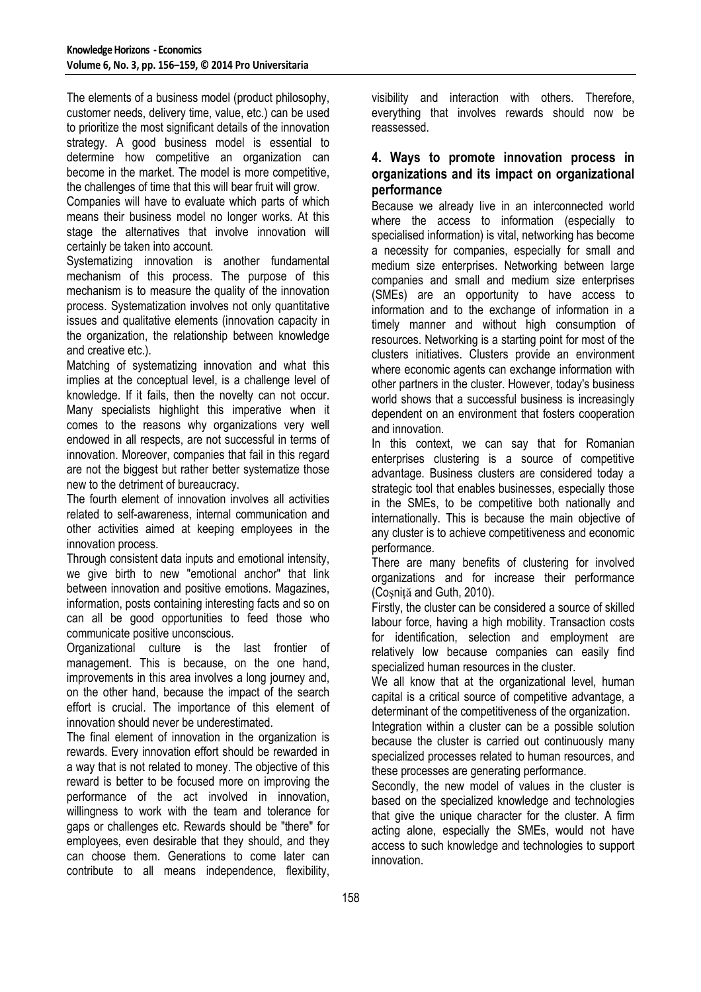The elements of a business model (product philosophy, customer needs, delivery time, value, etc.) can be used to prioritize the most significant details of the innovation strategy. A good business model is essential to determine how competitive an organization can become in the market. The model is more competitive, the challenges of time that this will bear fruit will grow.

Companies will have to evaluate which parts of which means their business model no longer works. At this stage the alternatives that involve innovation will certainly be taken into account.

Systematizing innovation is another fundamental mechanism of this process. The purpose of this mechanism is to measure the quality of the innovation process. Systematization involves not only quantitative issues and qualitative elements (innovation capacity in the organization, the relationship between knowledge and creative etc.).

Matching of systematizing innovation and what this implies at the conceptual level, is a challenge level of knowledge. If it fails, then the novelty can not occur. Many specialists highlight this imperative when it comes to the reasons why organizations very well endowed in all respects, are not successful in terms of innovation. Moreover, companies that fail in this regard are not the biggest but rather better systematize those new to the detriment of bureaucracy.

The fourth element of innovation involves all activities related to self-awareness, internal communication and other activities aimed at keeping employees in the innovation process.

Through consistent data inputs and emotional intensity, we give birth to new "emotional anchor" that link between innovation and positive emotions. Magazines, information, posts containing interesting facts and so on can all be good opportunities to feed those who communicate positive unconscious.

Organizational culture is the last frontier of management. This is because, on the one hand, improvements in this area involves a long journey and, on the other hand, because the impact of the search effort is crucial. The importance of this element of innovation should never be underestimated.

The final element of innovation in the organization is rewards. Every innovation effort should be rewarded in a way that is not related to money. The objective of this reward is better to be focused more on improving the performance of the act involved in innovation, willingness to work with the team and tolerance for gaps or challenges etc. Rewards should be "there" for employees, even desirable that they should, and they can choose them. Generations to come later can contribute to all means independence, flexibility,

visibility and interaction with others. Therefore, everything that involves rewards should now be reassessed.

## **4. Ways to promote innovation process in organizations and its impact on organizational performance**

Because we already live in an interconnected world where the access to information (especially to specialised information) is vital, networking has become a necessity for companies, especially for small and medium size enterprises. Networking between large companies and small and medium size enterprises (SMEs) are an opportunity to have access to information and to the exchange of information in a timely manner and without high consumption of resources. Networking is a starting point for most of the clusters initiatives. Clusters provide an environment where economic agents can exchange information with other partners in the cluster. However, today's business world shows that a successful business is increasingly dependent on an environment that fosters cooperation and innovation.

In this context, we can say that for Romanian enterprises clustering is a source of competitive advantage. Business clusters are considered today a strategic tool that enables businesses, especially those in the SMEs, to be competitive both nationally and internationally. This is because the main objective of any cluster is to achieve competitiveness and economic performance.

There are many benefits of clustering for involved organizations and for increase their performance (Coşniţă and Guth, 2010).

Firstly, the cluster can be considered a source of skilled labour force, having a high mobility. Transaction costs for identification, selection and employment are relatively low because companies can easily find specialized human resources in the cluster.

We all know that at the organizational level, human capital is a critical source of competitive advantage, a determinant of the competitiveness of the organization.

Integration within a cluster can be a possible solution because the cluster is carried out continuously many specialized processes related to human resources, and these processes are generating performance.

Secondly, the new model of values in the cluster is based on the specialized knowledge and technologies that give the unique character for the cluster. A firm acting alone, especially the SMEs, would not have access to such knowledge and technologies to support innovation.